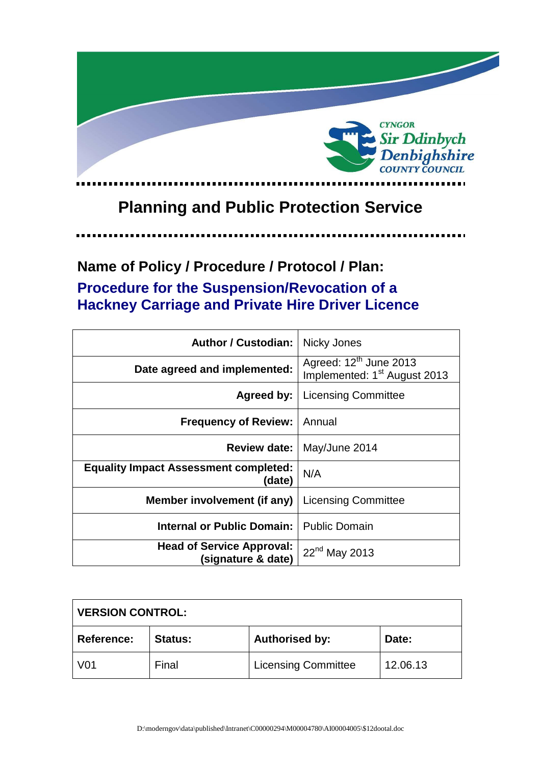

# **Planning and Public Protection Service**

.....

# **Name of Policy / Procedure / Protocol / Plan: Procedure for the Suspension/Revocation of a Hackney Carriage and Private Hire Driver Licence**

| <b>Author / Custodian:</b>                             | Nicky Jones                                                                    |
|--------------------------------------------------------|--------------------------------------------------------------------------------|
| Date agreed and implemented:                           | Agreed: 12 <sup>th</sup> June 2013<br>Implemented: 1 <sup>st</sup> August 2013 |
| Agreed by:                                             | <b>Licensing Committee</b>                                                     |
| <b>Frequency of Review:</b>                            | Annual                                                                         |
| <b>Review date:</b>                                    | May/June 2014                                                                  |
| <b>Equality Impact Assessment completed:</b><br>(date) | N/A                                                                            |
| Member involvement (if any)                            | <b>Licensing Committee</b>                                                     |
| Internal or Public Domain:                             | <b>Public Domain</b>                                                           |
| <b>Head of Service Approval:</b><br>(signature & date) | 22 <sup>nd</sup> May 2013                                                      |

| <b>VERSION CONTROL:</b> |                |                            |          |
|-------------------------|----------------|----------------------------|----------|
| <b>Reference:</b>       | <b>Status:</b> | <b>Authorised by:</b>      | Date:    |
| V <sub>0</sub> 1        | Final          | <b>Licensing Committee</b> | 12.06.13 |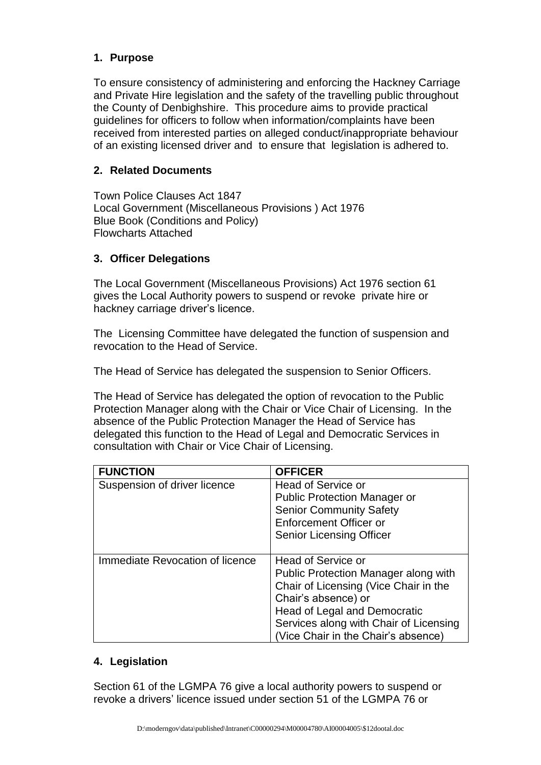# **1. Purpose**

To ensure consistency of administering and enforcing the Hackney Carriage and Private Hire legislation and the safety of the travelling public throughout the County of Denbighshire. This procedure aims to provide practical guidelines for officers to follow when information/complaints have been received from interested parties on alleged conduct/inappropriate behaviour of an existing licensed driver and to ensure that legislation is adhered to.

# **2. Related Documents**

Town Police Clauses Act 1847 Local Government (Miscellaneous Provisions ) Act 1976 Blue Book (Conditions and Policy) Flowcharts Attached

### **3. Officer Delegations**

The Local Government (Miscellaneous Provisions) Act 1976 section 61 gives the Local Authority powers to suspend or revoke private hire or hackney carriage driver's licence.

The Licensing Committee have delegated the function of suspension and revocation to the Head of Service.

The Head of Service has delegated the suspension to Senior Officers.

The Head of Service has delegated the option of revocation to the Public Protection Manager along with the Chair or Vice Chair of Licensing. In the absence of the Public Protection Manager the Head of Service has delegated this function to the Head of Legal and Democratic Services in consultation with Chair or Vice Chair of Licensing.

| <b>FUNCTION</b>                 | <b>OFFICER</b>                         |
|---------------------------------|----------------------------------------|
| Suspension of driver licence    | <b>Head of Service or</b>              |
|                                 | <b>Public Protection Manager or</b>    |
|                                 | <b>Senior Community Safety</b>         |
|                                 | <b>Enforcement Officer or</b>          |
|                                 | <b>Senior Licensing Officer</b>        |
|                                 |                                        |
| Immediate Revocation of licence | Head of Service or                     |
|                                 | Public Protection Manager along with   |
|                                 | Chair of Licensing (Vice Chair in the  |
|                                 | Chair's absence) or                    |
|                                 | Head of Legal and Democratic           |
|                                 | Services along with Chair of Licensing |
|                                 | (Vice Chair in the Chair's absence)    |

#### **4. Legislation**

Section 61 of the LGMPA 76 give a local authority powers to suspend or revoke a drivers' licence issued under section 51 of the LGMPA 76 or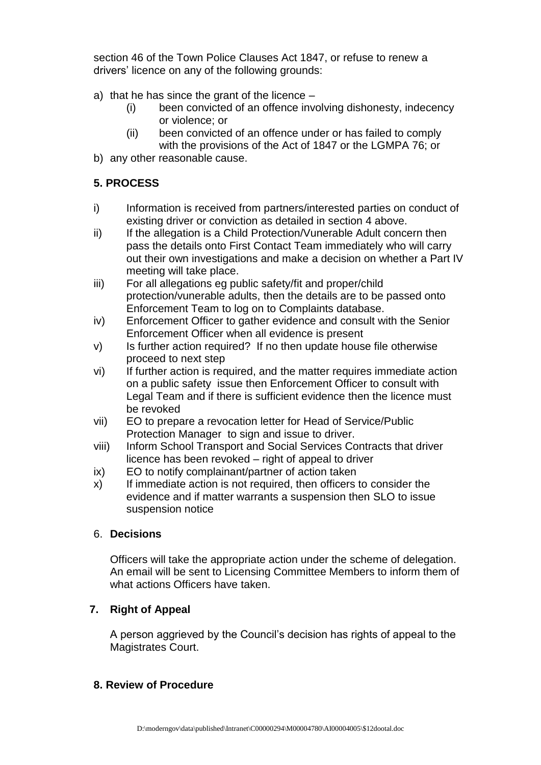section 46 of the Town Police Clauses Act 1847, or refuse to renew a drivers' licence on any of the following grounds:

- a) that he has since the grant of the licence
	- (i) been convicted of an offence involving dishonesty, indecency or violence; or
	- (ii) been convicted of an offence under or has failed to comply with the provisions of the Act of 1847 or the LGMPA 76; or
- b) any other reasonable cause.

# **5. PROCESS**

- i) Information is received from partners/interested parties on conduct of existing driver or conviction as detailed in section 4 above.
- ii) If the allegation is a Child Protection/Vunerable Adult concern then pass the details onto First Contact Team immediately who will carry out their own investigations and make a decision on whether a Part IV meeting will take place.
- iii) For all allegations eg public safety/fit and proper/child protection/vunerable adults, then the details are to be passed onto Enforcement Team to log on to Complaints database.
- iv) Enforcement Officer to gather evidence and consult with the Senior Enforcement Officer when all evidence is present
- v) Is further action required? If no then update house file otherwise proceed to next step
- vi) If further action is required, and the matter requires immediate action on a public safety issue then Enforcement Officer to consult with Legal Team and if there is sufficient evidence then the licence must be revoked
- vii) EO to prepare a revocation letter for Head of Service/Public Protection Manager to sign and issue to driver.
- viii) Inform School Transport and Social Services Contracts that driver licence has been revoked – right of appeal to driver
- ix) EO to notify complainant/partner of action taken
- x) If immediate action is not required, then officers to consider the evidence and if matter warrants a suspension then SLO to issue suspension notice

# 6. **Decisions**

Officers will take the appropriate action under the scheme of delegation. An email will be sent to Licensing Committee Members to inform them of what actions Officers have taken.

# **7. Right of Appeal**

A person aggrieved by the Council's decision has rights of appeal to the Magistrates Court.

#### **8. Review of Procedure**